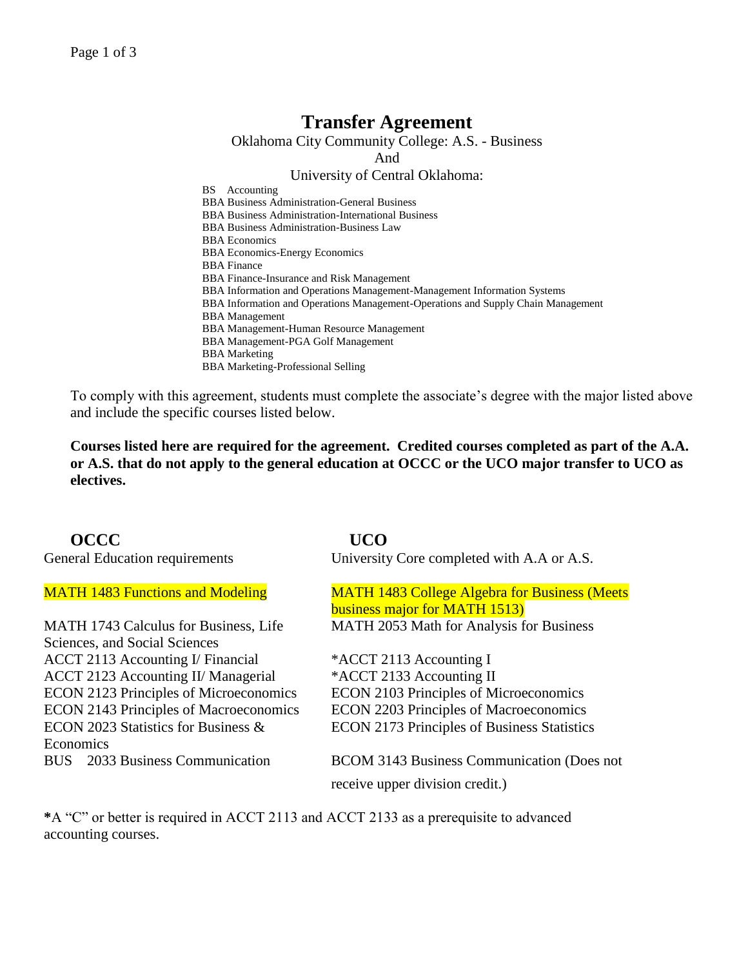# **Transfer Agreement**

Oklahoma City Community College: A.S. - Business

And

### University of Central Oklahoma:

BS Accounting BBA Business Administration-General Business BBA Business Administration-International Business BBA Business Administration-Business Law BBA Economics BBA Economics-Energy Economics BBA Finance BBA Finance-Insurance and Risk Management BBA Information and Operations Management-Management Information Systems BBA Information and Operations Management-Operations and Supply Chain Management BBA Management BBA Management-Human Resource Management BBA Management-PGA Golf Management BBA Marketing BBA Marketing-Professional Selling

To comply with this agreement, students must complete the associate's degree with the major listed above and include the specific courses listed below.

**Courses listed here are required for the agreement. Credited courses completed as part of the A.A. or A.S. that do not apply to the general education at OCCC or the UCO major transfer to UCO as electives.**

# **OCCC UCO**

MATH 1743 Calculus for Business, Life Sciences, and Social Sciences ACCT 2113 Accounting I/ Financial \*ACCT 2113 Accounting I ACCT 2123 Accounting II/ Managerial \*ACCT 2133 Accounting II ECON 2023 Statistics for Business & Economics

General Education requirements University Core completed with A.A or A.S.

MATH 1483 Functions and Modeling MATH 1483 College Algebra for Business (Meets business major for MATH 1513) MATH 2053 Math for Analysis for Business

ECON 2123 Principles of Microeconomics ECON 2103 Principles of Microeconomics ECON 2143 Principles of Macroeconomics ECON 2203 Principles of Macroeconomics ECON 2173 Principles of Business Statistics

BUS 2033 Business Communication BCOM 3143 Business Communication (Does not receive upper division credit.)

**\***A "C" or better is required in ACCT 2113 and ACCT 2133 as a prerequisite to advanced accounting courses.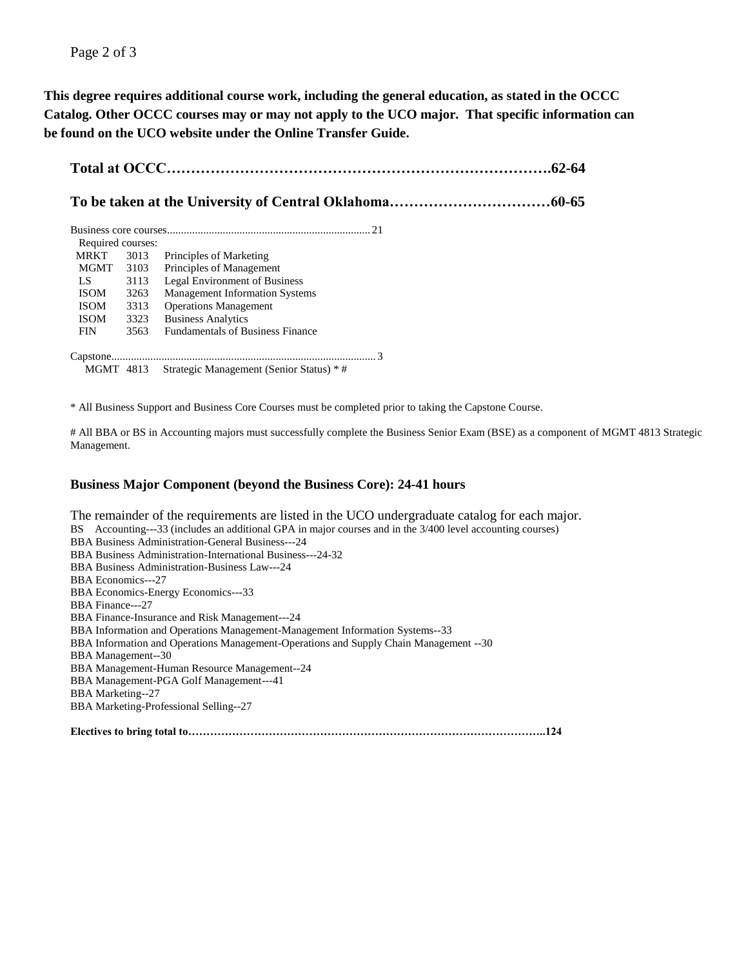**This degree requires additional course work, including the general education, as stated in the OCCC Catalog. Other OCCC courses may or may not apply to the UCO major. That specific information can be found on the UCO website under the Online Transfer Guide.**

|--|--|

# **To be taken at the University of Central Oklahoma……………………………60-65**

| Required courses: |      |                                         |
|-------------------|------|-----------------------------------------|
| <b>MRKT</b>       | 3013 | Principles of Marketing                 |
| MGMT              | 3103 | Principles of Management                |
| LS                | 3113 | <b>Legal Environment of Business</b>    |
| <b>ISOM</b>       | 3263 | <b>Management Information Systems</b>   |
| <b>ISOM</b>       | 3313 | <b>Operations Management</b>            |
| <b>ISOM</b>       | 3323 | <b>Business Analytics</b>               |
| <b>FIN</b>        | 3563 | <b>Fundamentals of Business Finance</b> |
|                   |      |                                         |
|                   |      |                                         |

MGMT 4813 Strategic Management (Senior Status) \* #

\* All Business Support and Business Core Courses must be completed prior to taking the Capstone Course.

# All BBA or BS in Accounting majors must successfully complete the Business Senior Exam (BSE) as a component of MGMT 4813 Strategic Management.

#### **Business Major Component (beyond the Business Core): 24-41 hours**

The remainder of the requirements are listed in the UCO undergraduate catalog for each major. BS Accounting---33 (includes an additional GPA in major courses and in the 3/400 level accounting courses) BBA Business Administration-General Business---24 BBA Business Administration-International Business---24-32 BBA Business Administration-Business Law---24 BBA Economics---27 BBA Economics-Energy Economics---33 BBA Finance---27 BBA Finance-Insurance and Risk Management---24 BBA Information and Operations Management-Management Information Systems--33 BBA Information and Operations Management-Operations and Supply Chain Management --30 BBA Management--30 BBA Management-Human Resource Management--24 BBA Management-PGA Golf Management---41 BBA Marketing--27 BBA Marketing-Professional Selling--27

**Electives to bring total to……………………………………………………………………………………..124**